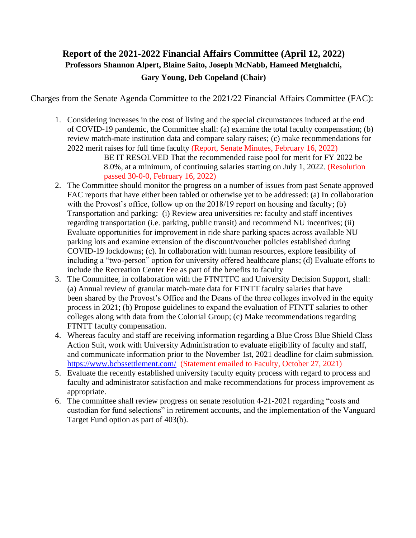## **Report of the 2021-2022 Financial Affairs Committee (April 12, 2022) Professors Shannon Alpert, Blaine Saito, Joseph McNabb, Hameed Metghalchi, Gary Young, Deb Copeland (Chair)**

Charges from the Senate Agenda Committee to the 2021/22 Financial Affairs Committee (FAC):

1. Considering increases in the cost of living and the special circumstances induced at the end of COVID-19 pandemic, the Committee shall: (a) examine the total faculty compensation; (b) review match-mate institution data and compare salary raises; (c) make recommendations for 2022 merit raises for full time faculty (Report, Senate Minutes, February 16, 2022)

BE IT RESOLVED That the recommended raise pool for merit for FY 2022 be 8.0%, at a minimum, of continuing salaries starting on July 1, 2022. (Resolution passed 30-0-0, February 16, 2022)

- 2. The Committee should monitor the progress on a number of issues from past Senate approved FAC reports that have either been tabled or otherwise yet to be addressed: (a) In collaboration with the Provost's office, follow up on the 2018/19 report on housing and faculty; (b) Transportation and parking: (i) Review area universities re: faculty and staff incentives regarding transportation (i.e. parking, public transit) and recommend NU incentives; (ii) Evaluate opportunities for improvement in ride share parking spaces across available NU parking lots and examine extension of the discount/voucher policies established during COVID-19 lockdowns; (c). In collaboration with human resources, explore feasibility of including a "two-person" option for university offered healthcare plans; (d) Evaluate efforts to include the Recreation Center Fee as part of the benefits to faculty
- 3. The Committee, in collaboration with the FTNTTFC and University Decision Support, shall: (a) Annual review of granular match-mate data for FTNTT faculty salaries that have been shared by the Provost's Office and the Deans of the three colleges involved in the equity process in 2021; (b) Propose guidelines to expand the evaluation of FTNTT salaries to other colleges along with data from the Colonial Group; (c) Make recommendations regarding FTNTT faculty compensation.
- 4. Whereas faculty and staff are receiving information regarding a Blue Cross Blue Shield Class Action Suit, work with University Administration to evaluate eligibility of faculty and staff, and communicate information prior to the November 1st, 2021 deadline for claim submission. <https://www.bcbssettlement.com/>(Statement emailed to Faculty, October 27, 2021)
- 5. Evaluate the recently established university faculty equity process with regard to process and faculty and administrator satisfaction and make recommendations for process improvement as appropriate.
- 6. The committee shall review progress on senate resolution 4-21-2021 regarding "costs and custodian for fund selections" in retirement accounts, and the implementation of the Vanguard Target Fund option as part of 403(b).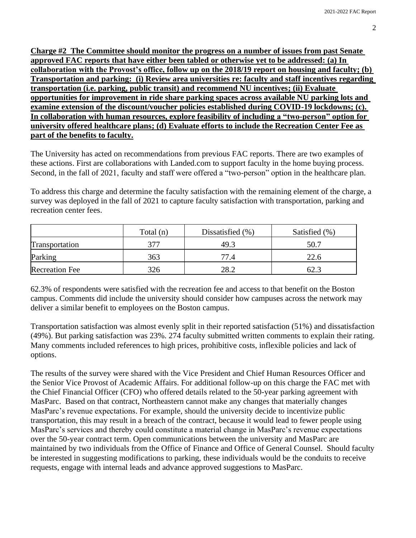**Charge #2 The Committee should monitor the progress on a number of issues from past Senate approved FAC reports that have either been tabled or otherwise yet to be addressed: (a) In collaboration with the Provost's office, follow up on the 2018/19 report on housing and faculty; (b) Transportation and parking: (i) Review area universities re: faculty and staff incentives regarding transportation (i.e. parking, public transit) and recommend NU incentives; (ii) Evaluate opportunities for improvement in ride share parking spaces across available NU parking lots and examine extension of the discount/voucher policies established during COVID-19 lockdowns; (c). In collaboration with human resources, explore feasibility of including a "two-person" option for university offered healthcare plans; (d) Evaluate efforts to include the Recreation Center Fee as part of the benefits to faculty.**

The University has acted on recommendations from previous FAC reports. There are two examples of these actions. First are collaborations with Landed.com to support faculty in the home buying process. Second, in the fall of 2021, faculty and staff were offered a "two-person" option in the healthcare plan.

To address this charge and determine the faculty satisfaction with the remaining element of the charge, a survey was deployed in the fall of 2021 to capture faculty satisfaction with transportation, parking and recreation center fees.

|                       | Total $(n)$ | Dissatisfied $(\% )$ | Satisfied (%) |
|-----------------------|-------------|----------------------|---------------|
| Transportation        | 377         | 49.3                 | 50.7          |
| Parking               | 363         | 77.4                 | 22.6          |
| <b>Recreation Fee</b> | 326         | 28.2                 |               |

62.3% of respondents were satisfied with the recreation fee and access to that benefit on the Boston campus. Comments did include the university should consider how campuses across the network may deliver a similar benefit to employees on the Boston campus.

Transportation satisfaction was almost evenly split in their reported satisfaction (51%) and dissatisfaction (49%). But parking satisfaction was 23%. 274 faculty submitted written comments to explain their rating. Many comments included references to high prices, prohibitive costs, inflexible policies and lack of options.

The results of the survey were shared with the Vice President and Chief Human Resources Officer and the Senior Vice Provost of Academic Affairs. For additional follow-up on this charge the FAC met with the Chief Financial Officer (CFO) who offered details related to the 50-year parking agreement with MasParc. Based on that contract, Northeastern cannot make any changes that materially changes MasParc's revenue expectations. For example, should the university decide to incentivize public transportation, this may result in a breach of the contract, because it would lead to fewer people using MasParc's services and thereby could constitute a material change in MasParc's revenue expectations over the 50-year contract term. Open communications between the university and MasParc are maintained by two individuals from the Office of Finance and Office of General Counsel. Should faculty be interested in suggesting modifications to parking, these individuals would be the conduits to receive requests, engage with internal leads and advance approved suggestions to MasParc.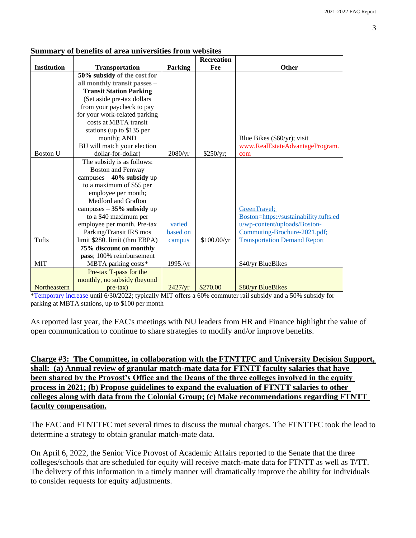|                    |                                |                | <b>Recreation</b> |                                        |  |
|--------------------|--------------------------------|----------------|-------------------|----------------------------------------|--|
| <b>Institution</b> | <b>Transportation</b>          | <b>Parking</b> | Fee               | Other                                  |  |
|                    | 50% subsidy of the cost for    |                |                   |                                        |  |
|                    | all monthly transit passes -   |                |                   |                                        |  |
|                    | <b>Transit Station Parking</b> |                |                   |                                        |  |
|                    | (Set aside pre-tax dollars     |                |                   |                                        |  |
|                    | from your paycheck to pay      |                |                   |                                        |  |
|                    | for your work-related parking  |                |                   |                                        |  |
|                    | costs at MBTA transit          |                |                   |                                        |  |
|                    | stations (up to \$135 per      |                |                   |                                        |  |
|                    | month); AND                    |                |                   | Blue Bikes (\$60/yr); visit            |  |
|                    | BU will match your election    |                |                   | www.RealEstateAdvantageProgram.        |  |
| <b>Boston U</b>    | dollar-for-dollar)             | 2080/yr        | \$250/yr;         | com                                    |  |
|                    | The subsidy is as follows:     |                |                   |                                        |  |
|                    | <b>Boston and Fenway</b>       |                |                   |                                        |  |
|                    | campuses $-40\%$ subsidy up    |                |                   |                                        |  |
|                    | to a maximum of \$55 per       |                |                   |                                        |  |
|                    | employee per month;            |                |                   |                                        |  |
|                    | Medford and Grafton            |                |                   |                                        |  |
|                    | campuses $-35%$ subsidy up     |                |                   | GreenTravel;                           |  |
|                    | to a \$40 maximum per          |                |                   | Boston=https://sustainability.tufts.ed |  |
|                    | employee per month. Pre-tax    | varied         |                   | u/wp-content/uploads/Boston-           |  |
|                    | Parking/Transit IRS mos        | based on       |                   | Commuting-Brochure-2021.pdf;           |  |
| Tufts              | limit \$280. limit (thru EBPA) | campus         | \$100.00/yr       | <b>Transportation Demand Report</b>    |  |
|                    | 75% discount on monthly        |                |                   |                                        |  |
|                    | pass; 100% reimbursement       |                |                   |                                        |  |
| <b>MIT</b>         | MBTA parking costs*            | 1995./yr       |                   | \$40/yr BlueBikes                      |  |
|                    | Pre-tax T-pass for the         |                |                   |                                        |  |
|                    | monthly, no subsidy (beyond    |                |                   |                                        |  |
| Northeastern       | $pre$ -tax $)$                 | 2427/yr        | \$270.00          | \$80/yr BlueBikes                      |  |
|                    |                                |                |                   |                                        |  |

## **Summary of benefits of area universities from websites**

Temporary increase until 6/30/2022; typically MIT offers a 60% commuter rail subsidy and a 50% subsidy for parking at MBTA stations, up to \$100 per month

As reported last year, the FAC's meetings with NU leaders from HR and Finance highlight the value of open communication to continue to share strategies to modify and/or improve benefits.

**Charge #3: The Committee, in collaboration with the FTNTTFC and University Decision Support, shall: (a) Annual review of granular match-mate data for FTNTT faculty salaries that have been shared by the Provost's Office and the Deans of the three colleges involved in the equity process in 2021; (b) Propose guidelines to expand the evaluation of FTNTT salaries to other colleges along with data from the Colonial Group; (c) Make recommendations regarding FTNTT faculty compensation.**

The FAC and FTNTTFC met several times to discuss the mutual charges. The FTNTTFC took the lead to determine a strategy to obtain granular match-mate data.

On April 6, 2022, the Senior Vice Provost of Academic Affairs reported to the Senate that the three colleges/schools that are scheduled for equity will receive match-mate data for FTNTT as well as T/TT. The delivery of this information in a timely manner will dramatically improve the ability for individuals to consider requests for equity adjustments.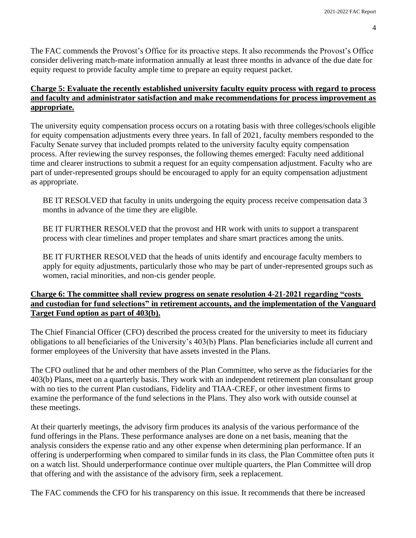The FAC commends the Provost's Office for its proactive steps. It also recommends the Provost's Office consider delivering match-mate information annually at least three months in advance of the due date for equity request to provide faculty ample time to prepare an equity request packet.

## **Charge 5: Evaluate the recently established university faculty equity process with regard to process and faculty and administrator satisfaction and make recommendations for process improvement as appropriate.**

The university equity compensation process occurs on a rotating basis with three colleges/schools eligible for equity compensation adjustments every three years. In fall of 2021, faculty members responded to the Faculty Senate survey that included prompts related to the university faculty equity compensation process. After reviewing the survey responses, the following themes emerged: Faculty need additional time and clearer instructions to submit a request for an equity compensation adjustment. Faculty who are part of under-represented groups should be encouraged to apply for an equity compensation adjustment as appropriate.

BE IT RESOLVED that faculty in units undergoing the equity process receive compensation data 3 months in advance of the time they are eligible.

BE IT FURTHER RESOLVED that the provost and HR work with units to support a transparent process with clear timelines and proper templates and share smart practices among the units.

BE IT FURTHER RESOLVED that the heads of units identify and encourage faculty members to apply for equity adjustments, particularly those who may be part of under-represented groups such as women, racial minorities, and non-cis gender people.

## **Charge 6: The committee shall review progress on senate resolution 4-21-2021 regarding "costs and custodian for fund selections" in retirement accounts, and the implementation of the Vanguard Target Fund option as part of 403(b).**

The Chief Financial Officer (CFO) described the process created for the university to meet its fiduciary obligations to all beneficiaries of the University's 403(b) Plans. Plan beneficiaries include all current and former employees of the University that have assets invested in the Plans.

The CFO outlined that he and other members of the Plan Committee, who serve as the fiduciaries for the 403(b) Plans, meet on a quarterly basis. They work with an independent retirement plan consultant group with no ties to the current Plan custodians, Fidelity and TIAA-CREF, or other investment firms to examine the performance of the fund selections in the Plans. They also work with outside counsel at these meetings.

At their quarterly meetings, the advisory firm produces its analysis of the various performance of the fund offerings in the Plans. These performance analyses are done on a net basis, meaning that the analysis considers the expense ratio and any other expense when determining plan performance. If an offering is underperforming when compared to similar funds in its class, the Plan Committee often puts it on a watch list. Should underperformance continue over multiple quarters, the Plan Committee will drop that offering and with the assistance of the advisory firm, seek a replacement.

The FAC commends the CFO for his transparency on this issue. It recommends that there be increased